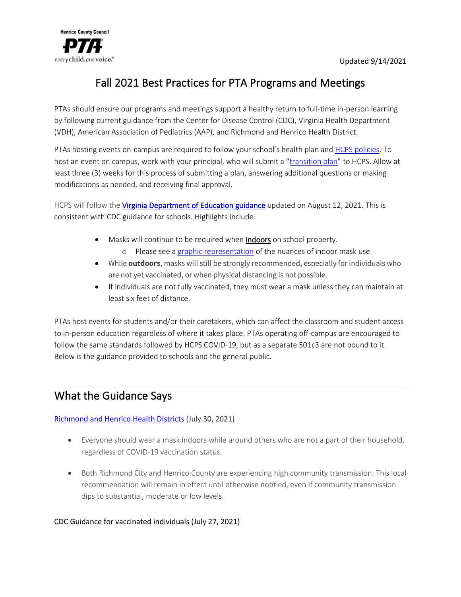

# Fall 2021 Best Practices for PTA Programs and Meetings

PTAs should ensure our programs and meetings support a healthy return to full-time in-person learning by following current guidance from the Center for Disease Control (CDC), Virginia Health Department (VDH), American Association of Pediatrics (AAP), and Richmond and Henrico Health District.

PTAs hosting events on-campus are required to follow your school's health plan and HCPS policies. To host an event on campus, work with your principal, who will submit a "transition plan" to HCPS. Allow at least three (3) weeks for this process of submitting a plan, answering additional questions or making modifications as needed, and receiving final approval.

HCPS will follow the *Virginia Department of Education guidance* updated on August 12, 2021. This is consistent with CDC guidance for schools. Highlights include:

- Masks will continue to be required when **indoors** on school property.
	- o Please see a graphic representation of the nuances of indoor mask use.
- While **outdoors**, masks will still be strongly recommended, especially for individuals who are not yet vaccinated, or when physical distancing is not possible.
- If individuals are not fully vaccinated, they must wear a mask unless they can maintain at least six feet of distance.

PTAs host events for students and/or their caretakers, which can affect the classroom and student access to in-person education regardless of where it takes place. PTAs operating off-campus are encouraged to follow the same standards followed by HCPS COVID-19, but as a separate 501c3 are not bound to it. Below is the guidance provided to schools and the general public.

# What the Guidance Says

## Richmond and Henrico Health Districts (July 30, 2021)

- Everyone should wear a mask indoors while around others who are not a part of their household, regardless of COVID-19 vaccination status.
- Both Richmond City and Henrico County are experiencing high community transmission. This local recommendation will remain in effect until otherwise notified, even if community transmission dips to substantial, moderate or low levels.

### CDC Guidance for vaccinated individuals (July 27, 2021)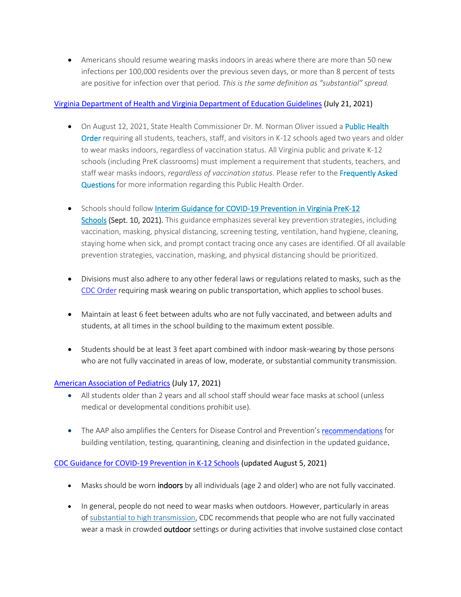• Americans should resume wearing masks indoors in areas where there are more than 50 new infections per 100,000 residents over the previous seven days, or more than 8 percent of tests are positive for infection over that period. *This is the same definition as "substantial" spread.*

### [Virginia Department of Health and Virginia Department of Education Guidelines](https://www.vdh.virginia.gov/coronavirus/schools-workplaces-community-locations/k-12-education/) (July 21, 2021)

- On August 12, 2021, State Health Commissioner Dr. M. Norman Oliver issued a Public Health [Order](https://www.vdh.virginia.gov/content/uploads/sites/134/2021/08/PHE-Order_K-12_8-12-2021.pdf) requiring all students, teachers, staff, and visitors in K-12 schools aged two years and older to wear masks indoors, regardless of vaccination status. All Virginia public and private K-12 schools (including PreK classrooms) must implement a requirement that students, teachers, and staff wear masks indoors, *regardless of vaccination status*. Please refer to the [Frequently Asked](https://www.vdh.virginia.gov/content/uploads/sites/182/2021/08/K-12-Public-Health-Order-FAQs-8_17_21-1.pdf)  [Questions](https://www.vdh.virginia.gov/content/uploads/sites/182/2021/08/K-12-Public-Health-Order-FAQs-8_17_21-1.pdf) for more information regarding this Public Health Order.
- Schools should follow Interim Guidance for COVID-19 Prevention in Virginia PreK-12 [Schools](https://www.vdh.virginia.gov/content/uploads/sites/182/2021/03/Interim-Guidance-to-K-12-School-Reopening.pdf) (Sept. 10, 2021). This guidance emphasizes several key prevention strategies, including vaccination, masking, physical distancing, screening testing, ventilation, hand hygiene, cleaning, staying home when sick, and prompt contact tracing once any cases are identified. Of all available prevention strategies, vaccination, masking, and physical distancing should be prioritized.
- Divisions must also adhere to any other federal laws or regulations related to masks, such as the [CDC Order](https://www.cdc.gov/coronavirus/2019-ncov/travelers/face-masks-public-transportation.html) requiring mask wearing on public transportation, which applies to school buses.
- Maintain at least 6 feet between adults who are not fully vaccinated, and between adults and students, at all times in the school building to the maximum extent possible.
- Students should be at least 3 feet apart combined with indoor mask-wearing by those persons who are not fully vaccinated in areas of low, moderate, or substantial community transmission.

## [American Association of Pediatrics](https://services.aap.org/en/news-room/news-releases/aap/2021/american-academy-of-pediatrics-updates-recommendations-for-opening-schools-in-fall-2021/) (July 17, 2021)

- All students older than 2 years and all school staff should wear face masks at school (unless medical or developmental conditions prohibit use).
- The AAP also amplifies the Centers for Disease Control and Prevention's [recommendations](https://www.cdc.gov/coronavirus/2019-ncov/community/schools-childcare/k-12-guidance.html) for building ventilation, testing, quarantining, cleaning and disinfection in the updated guidance.

## [CDC Guidance for COVID-19 Prevention in K-12 Schools](https://www.cdc.gov/coronavirus/2019-ncov/community/schools-childcare/k-12-guidance.html) (updated August 5, 2021)

- Masks should be worn indoors by all individuals (age 2 and older) who are not fully vaccinated.
- In general, people do not need to wear masks when outdoors. However, particularly in areas of [substantial to high transmission,](https://covid.cdc.gov/covid-data-tracker/#county-view) CDC recommends that people who are not fully vaccinated wear a mask in crowded outdoor settings or during activities that involve sustained close contact